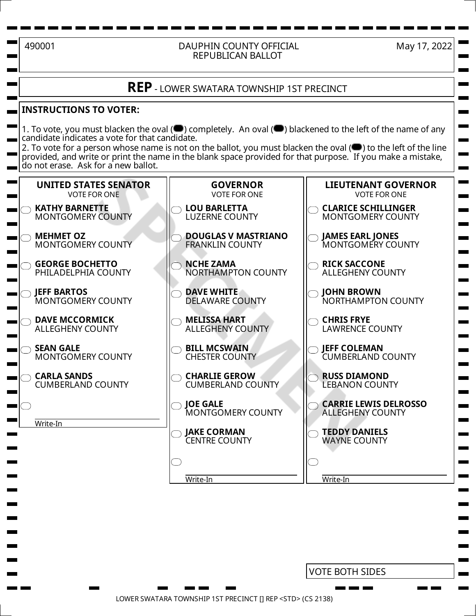## 490001 DAUPHIN COUNTY OFFICIAL REPUBLICAN BALLOT

May 17, 2022

## **REP** - LOWER SWATARA TOWNSHIP 1ST PRECINCT

## **INSTRUCTIONS TO VOTER:**

1. To vote, you must blacken the oval ( $\blacksquare$ ) completely. An oval ( $\blacksquare$ ) blackened to the left of the name of any candidate indicates a vote for that candidate.

2. To vote for a person whose name is not on the ballot, you must blacken the oval  $($ **)** to the left of the line provided, and write or print the name in the blank space provided for that purpose. If you make a mistake, do not erase. Ask for a new ballot.